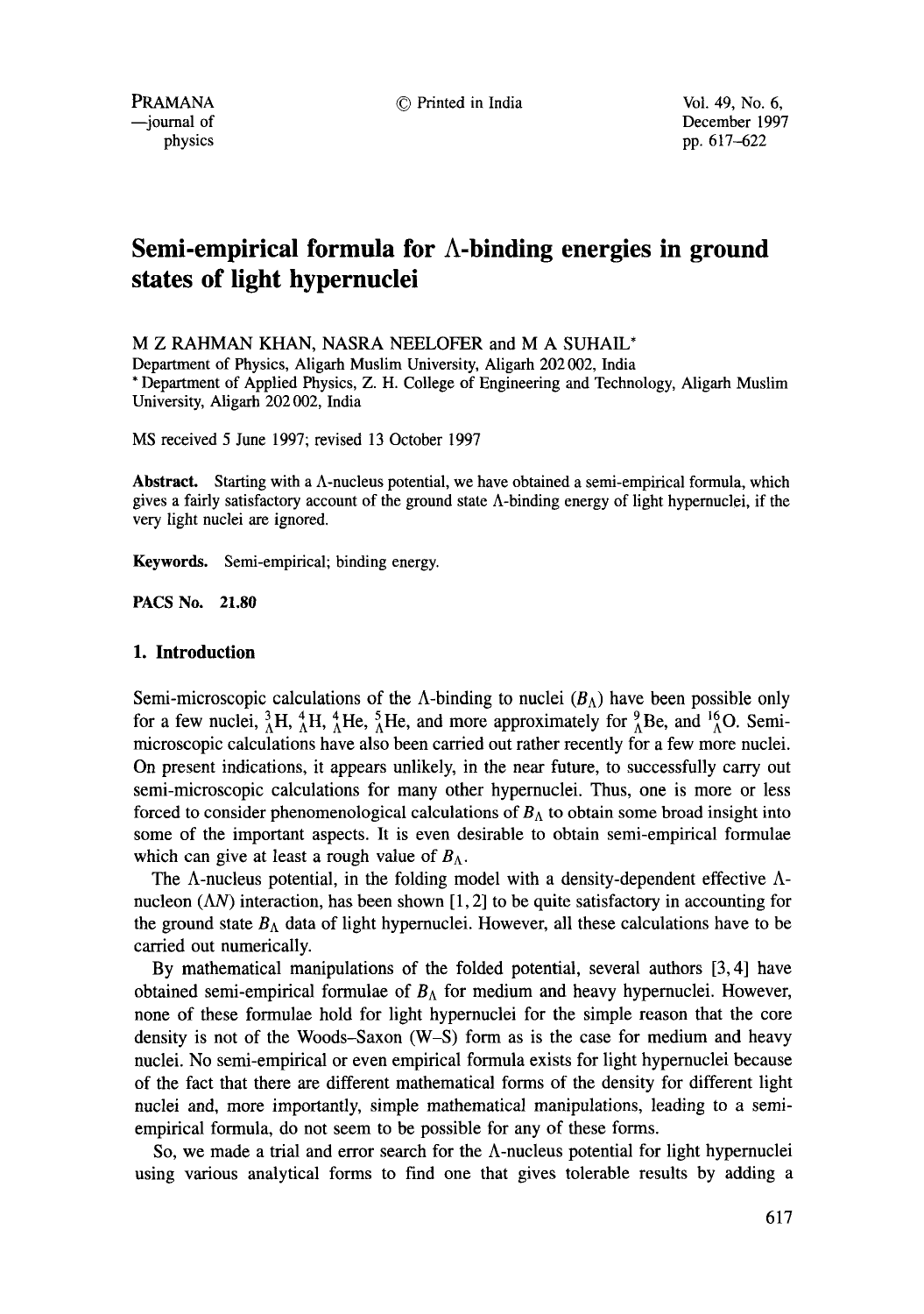PRAMANA © Printed in India Vol. 49, No. 6,

 $-$ journal of December 1997 physics pp. 617-622

# **Semi-empirical formula for A-binding energies in ground states of light hypernuclei**

M Z RAHMAN KHAN, NASRA NEELOFER and M A SUHAIL\*

Department of Physics, Aligarh Muslim University, Aligarh 202 002, India \* Department of Applied Physics, Z. H. College of Engineering and Technology, Aligarh Muslim University, Aligarh 202 002, India

MS received 5 June 1997; revised 13 October 1997

**Abstract.** Starting with a A-nucleus potential, we have obtained a semi-empirical formula, which gives a fairly satisfactory account of the ground state A-binding energy of light hypemuclei, if the very light nuclei are ignored.

Keywords. Semi-empirical; binding energy.

**PACS No. 21.80** 

# **1. Introduction**

Semi-microscopic calculations of the  $\Lambda$ -binding to nuclei  $(B_{\Lambda})$  have been possible only for a few nuclei,  ${}_{0}^{3}H$ ,  ${}_{0}^{4}H$ ,  ${}_{0}^{4}He$ ,  ${}_{0}^{5}He$ , and more approximately for  ${}_{0}^{9}Be$ , and  ${}_{0}^{16}O$ . Semimicroscopic calculations have also been carried out rather recently for a few more nuclei. On present indications, it appears unlikely, in the near future, to successfully carry out semi-microscopic calculations for many other hypernuclei. Thus, one is more or less forced to consider phenomenological calculations of  $B<sub>A</sub>$  to obtain some broad insight into some of the important aspects. It is even desirable to obtain semi-empirical formulae which can give at least a rough value of  $B_{\Lambda}$ .

The  $\Lambda$ -nucleus potential, in the folding model with a density-dependent effective  $\Lambda$ nucleon  $(\Lambda N)$  interaction, has been shown [1, 2] to be quite satisfactory in accounting for the ground state  $B_{\Lambda}$  data of light hypernuclei. However, all these calculations have to be carried out numerically.

By mathematical manipulations of the folded potential, several authors [3, 4] have obtained semi-empirical formulae of  $B_\Lambda$  for medium and heavy hypernuclei. However, none of these formulae hold for light hypernuclei for the simple reason that the core density is not of the Woods-Saxon (W-S) form as is the case for medium and heavy nuclei. No semi-empirical or even empirical formula exists for light hypemuclei because of the fact that there are different mathematical forms of the density for different light nuclei and, more importantly, simple mathematical manipulations, leading to a semiempirical formula, do not seem to be possible for any of these forms.

So, we made a trial and error search for the  $\Lambda$ -nucleus potential for light hypernuclei using various analytical forms to find one that gives tolerable results by adding a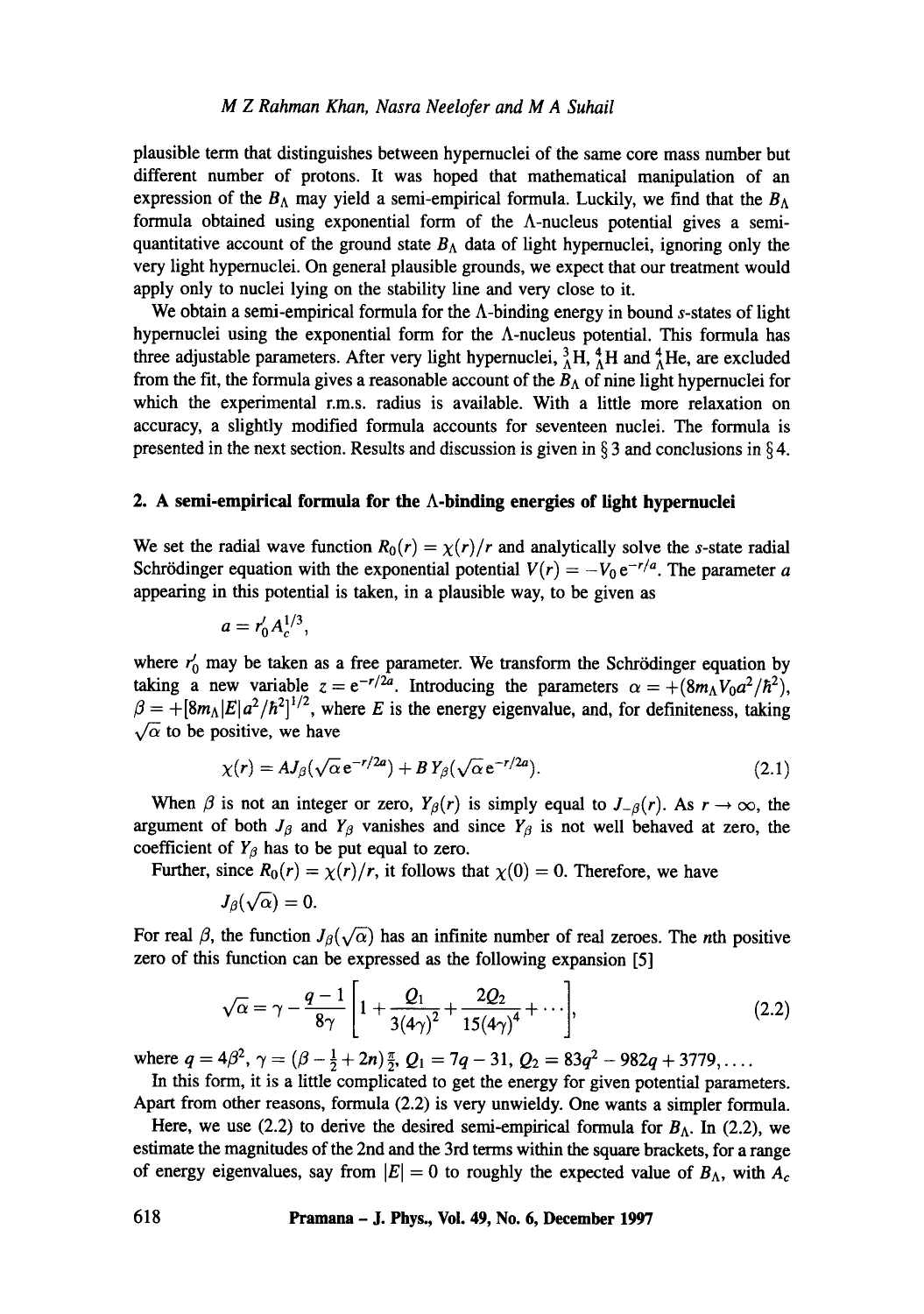## *M Z Rahman Khan, Nasra Neelofer and M A Suhail*

plausible term that distinguishes between hypernuclei of the same core mass number but different number of protons. It was hoped that mathematical manipulation of an expression of the  $B_{\Lambda}$  may yield a semi-empirical formula. Luckily, we find that the  $B_{\Lambda}$ formula obtained using exponential form of the A-nucleus potential gives a semiquantitative account of the ground state  $B_\Lambda$  data of light hypernuclei, ignoring only the very light hypernuclei. On general plausible grounds, we expect that our treatment would apply only to nuclei lying on the stability line and very close to it.

We obtain a semi-empirical formula for the  $\Lambda$ -binding energy in bound s-states of light hypernuclei using the exponential form for the A-nucleus potential. This formula has three adjustable parameters. After very light hypernuclei,  ${}_{\lambda}^{3}H$ ,  ${}_{\lambda}^{4}H$  and  ${}_{\lambda}^{4}He$ , are excluded from the fit, the formula gives a reasonable account of the  $B_\Lambda$  of nine light hypernuclei for which the experimental r.m.s, radius is available. With a little more relaxation on accuracy, a slightly modified formula accounts for seventeen nuclei. The formula is presented in the next section. Results and discussion is given in  $\S 3$  and conclusions in  $\S 4$ .

# **2.** A semi-empirical formula for the  $\Lambda$ -binding energies of light hypernuclei

We set the radial wave function  $R_0(r) = \chi(r)/r$  and analytically solve the s-state radial Schrödinger equation with the exponential potential  $V(r) = -V_0 e^{-r/a}$ . The parameter a appearing in this potential is taken, in a plausible way, to be given as

$$
a=r'_0 A_c^{1/3},
$$

where  $r'_0$  may be taken as a free parameter. We transform the Schrödinger equation by taking a new variable  $z = e^{-r/2a}$ . Introducing the parameters  $\alpha = +(8m_AV_0a^2/\hbar^2)$ ,  $\beta = +[8m<sub>A</sub>|E|a<sup>2</sup>/\hbar<sup>2</sup>]^{1/2}$ , where E is the energy eigenvalue, and, for definiteness, taking  $\sqrt{\alpha}$  to be positive, we have

$$
\chi(r) = AJ_{\beta}(\sqrt{\alpha} e^{-r/2a}) + BY_{\beta}(\sqrt{\alpha} e^{-r/2a}). \tag{2.1}
$$

When  $\beta$  is not an integer or zero,  $Y_{\beta}(r)$  is simply equal to  $J_{-\beta}(r)$ . As  $r \to \infty$ , the argument of both  $J_\beta$  and  $Y_\beta$  vanishes and since  $Y_\beta$  is not well behaved at zero, the coefficient of  $Y_{\beta}$  has to be put equal to zero.

Further, since  $R_0(r) = \chi(r)/r$ , it follows that  $\chi(0) = 0$ . Therefore, we have

$$
J_{\beta}(\sqrt{\alpha})=0.
$$

For real  $\beta$ , the function  $J_{\beta}(\sqrt{\alpha})$  has an infinite number of real zeroes. The *n*th positive zero of this function can be expressed as the following expansion [5]

$$
\sqrt{\alpha} = \gamma - \frac{q-1}{8\gamma} \left[ 1 + \frac{Q_1}{3(4\gamma)^2} + \frac{2Q_2}{15(4\gamma)^4} + \cdots \right],\tag{2.2}
$$

where  $q = 4\beta^2$ ,  $\gamma = (\beta - \frac{1}{2} + 2n) \frac{\pi}{2}$ ,  $Q_1 = 7q - 31$ ,  $Q_2 = 83q^2 - 982q + 3779$ ,...

In this form, it is a little complicated to get the energy for given potential parameters. Apart from other reasons, formula (2.2) is very unwieldy. One wants a simpler formula.

Here, we use (2.2) to derive the desired semi-empirical formula for  $B_{\Lambda}$ . In (2.2), we estimate the magnitudes of the 2nd and the 3rd terms within the square brackets, for a range of energy eigenvalues, say from  $|E| = 0$  to roughly the expected value of  $B_{\Lambda}$ , with  $A_c$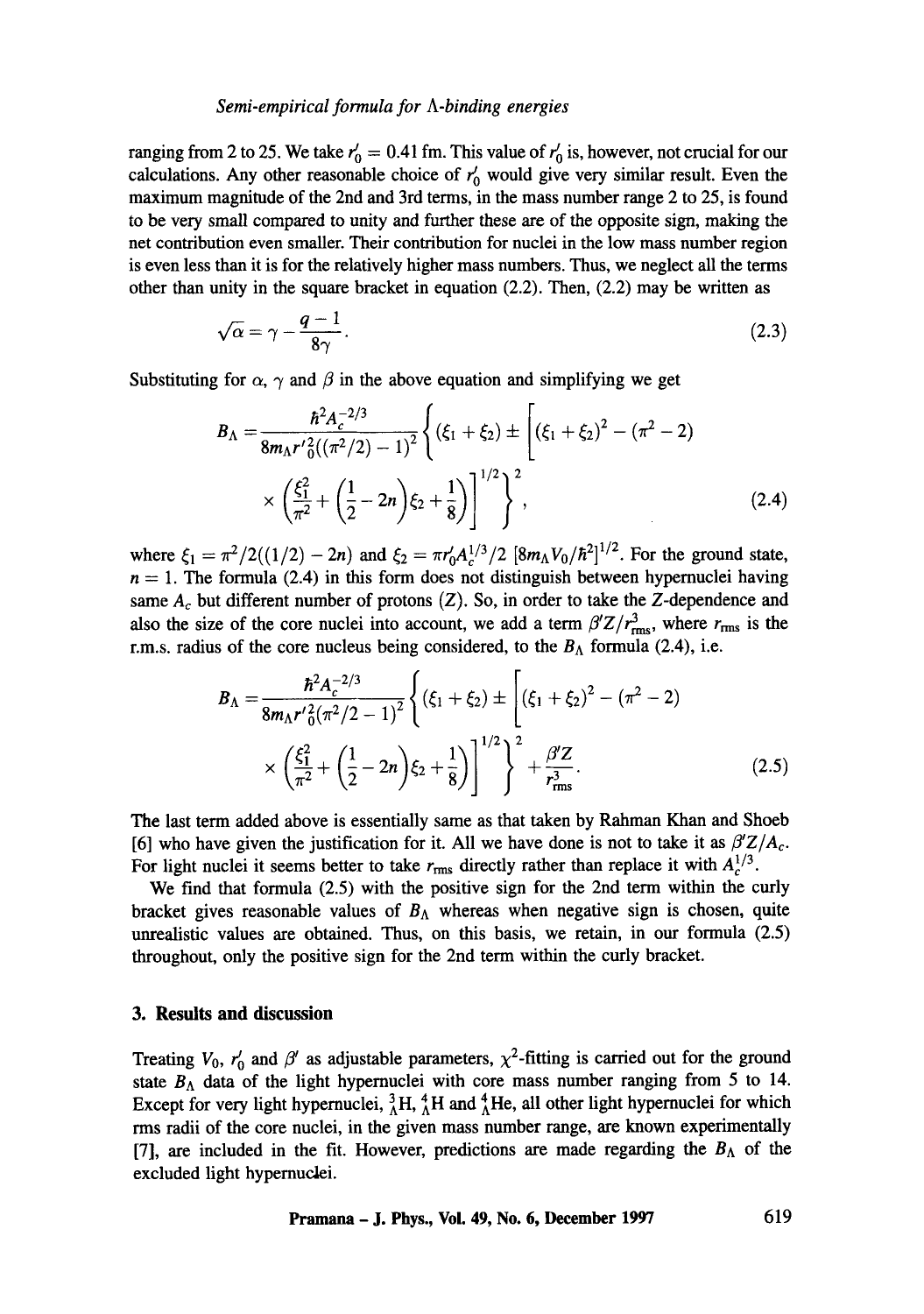#### *Semi-empirical formula for A-binding energies*

ranging from 2 to 25. We take  $r_0' = 0.41$  fm. This value of  $r_0'$  is, however, not crucial for our calculations. Any other reasonable choice of  $r_0$  would give very similar result. Even the maximum magnitude of the 2nd and 3rd terms, in the mass number range 2 to 25, is found to be very small compared to unity and further these are of the opposite sign, making the net contribution even smaller. Their contribution for nuclei in the low mass number region is even less than it is for the relatively higher mass numbers. Thus, we neglect all the terms other than unity in the square bracket in equation (2.2). Then, (2.2) may be written as

$$
\sqrt{\alpha} = \gamma - \frac{q-1}{8\gamma}.\tag{2.3}
$$

Substituting for  $\alpha$ ,  $\gamma$  and  $\beta$  in the above equation and simplifying we get

$$
B_{\Lambda} = \frac{\hbar^2 A_c^{-2/3}}{8m_{\Lambda}r'^2((\pi^2/2)-1)^2} \left\{ (\xi_1 + \xi_2) \pm \left[ (\xi_1 + \xi_2)^2 - (\pi^2 - 2) \right] \times \left( \frac{\xi_1^2}{\pi^2} + \left( \frac{1}{2} - 2n \right) \xi_2 + \frac{1}{8} \right) \right\}^{1/2} \right\}^2,
$$
\n(2.4)

where  $\xi_1 = \pi^2/2((1/2) - 2n)$  and  $\xi_2 = \pi r'_0 A_c^{1/3}/2$   $[8m_\Lambda V_0/\hbar^2]^{1/2}$ . For the ground state,  $n = 1$ . The formula (2.4) in this form does not distinguish between hypernuclei having same  $A_c$  but different number of protons (Z). So, in order to take the Z-dependence and also the size of the core nuclei into account, we add a term  $\beta'Z/r_{\text{rms}}^3$ , where  $r_{\text{rms}}$  is the r.m.s. radius of the core nucleus being considered, to the  $B_\Lambda$  formula (2.4), i.e.

$$
B_{\Lambda} = \frac{\hbar^2 A_c^{-2/3}}{8m_{\Lambda}r^{\prime}{}^2_0(\pi^2/2 - 1)^2} \left\{ (\xi_1 + \xi_2) \pm \left[ (\xi_1 + \xi_2)^2 - (\pi^2 - 2) \right] \times \left( \frac{\xi_1^2}{\pi^2} + \left( \frac{1}{2} - 2n \right) \xi_2 + \frac{1}{8} \right) \right\}^{1/2} \right\}^2 + \frac{\beta^{\prime}Z}{r_{\rm rms}^3}.
$$
 (2.5)

The last term added above is essentially same as that taken by Rahman Khan and Shoeb [6] who have given the justification for it. All we have done is not to take it as  $\beta'Z/A_c$ . For light nuclei it seems better to take  $r_{\rm rms}$  directly rather than replace it with  $A_c^{1/3}$ .

We find that formula (2.5) with the positive sign for the 2nd term within the curly bracket gives reasonable values of  $B_{\Lambda}$  whereas when negative sign is chosen, quite unrealistic values are obtained. Thus, on this basis, we retain, in our formula (2.5) throughout, only the positive sign for the 2nd term within the curly bracket.

## **3. Results and discussion**

Treating  $V_0$ ,  $r'_0$  and  $\beta'$  as adjustable parameters,  $\chi^2$ -fitting is carried out for the ground state  $B_{\Lambda}$  data of the light hypernuclei with core mass number ranging from 5 to 14. Except for very light hypernuclei,  ${}^{3}_{\Lambda}H$ ,  ${}^{4}_{\Lambda}H$  and  ${}^{4}_{\Lambda}He$ , all other light hypernuclei for which rms radii of the core nuclei, in the given mass number range, are known experimentally [7], are included in the fit. However, predictions are made regarding the  $B_{\Lambda}$  of the excluded light hypernuclei.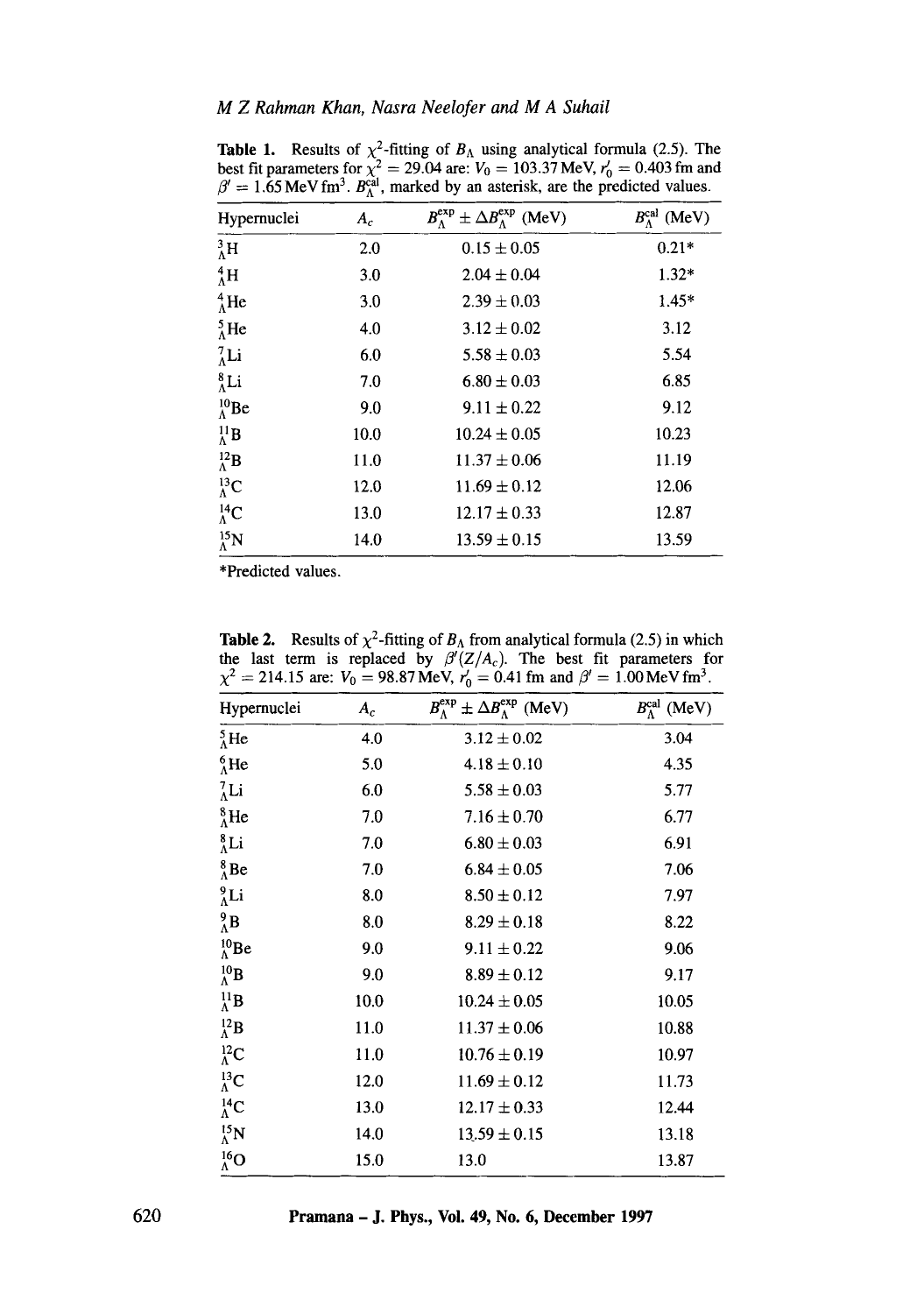| Hypernuclei              | $A_c$ | $B_{\Lambda}^{\exp} \pm \Delta B_{\Lambda}^{\exp}$ (MeV) | $B_{\Lambda}^{\text{cal}}$ (MeV) |
|--------------------------|-------|----------------------------------------------------------|----------------------------------|
| ${}^{3}_{\Lambda}$ H     | 2.0   | $0.15 \pm 0.05$                                          | $0.21*$                          |
| ${}_{\Lambda}^{4}$ H     | 3.0   | $2.04 \pm 0.04$                                          | $1.32*$                          |
| $^{4}_{\Lambda}$ He      | 3.0   | $2.39 \pm 0.03$                                          | $1.45*$                          |
| $^{5}_{\Lambda}$ He      | 4.0   | $3.12 \pm 0.02$                                          | 3.12                             |
| $^{7}_{\Lambda}$ Li      | 6.0   | $5.58 \pm 0.03$                                          | 5.54                             |
| $^8_\Lambda$ Li          | 7.0   | $6.80 \pm 0.03$                                          | 6.85                             |
| $^{10}_{\Lambda}$ Be     | 9.0   | $9.11 \pm 0.22$                                          | 9.12                             |
| $^{11}_\Lambda$ <b>B</b> | 10.0  | $10.24 \pm 0.05$                                         | 10.23                            |
| $^{12}_{\Lambda}$ B      | 11.0  | $11.37 \pm 0.06$                                         | 11.19                            |
| $^{13}_{\Lambda}$ C      | 12.0  | $11.69 \pm 0.12$                                         | 12.06                            |
| $^{14}_{\Lambda}$ C      | 13.0  | $12.17 \pm 0.33$                                         | 12.87                            |
| $^{15}_{\Lambda}$ N      | 14.0  | $13.59 \pm 0.15$                                         | 13.59                            |

**Table 1.** Results of  $\chi^2$ -fitting of  $B_\Lambda$  using analytical formula (2.5). The best fit parameters for  $\chi^2 = 29.04$  are:  $V_0 = 103.37$  MeV,  $r'_0 = 0.403$  fm and  $\beta' = 1.65$  MeV fm<sup>3</sup>.  $B_{\lambda}^{\text{cal}}$ , marked by an asterisk, are the predicted values.

\*Predicted values.

| л.<br>$-21$ , $-15$ and $-70.07$ move, $r_0$<br>$-$ 0.41 km and $\rho$ - 1.00 me $\epsilon$ hm. |       |                                                          |                                  |  |
|-------------------------------------------------------------------------------------------------|-------|----------------------------------------------------------|----------------------------------|--|
| Hypernuclei                                                                                     | $A_c$ | $B_{\Lambda}^{\exp} \pm \Delta B_{\Lambda}^{\exp}$ (MeV) | $B_{\Lambda}^{\text{cal}}$ (MeV) |  |
| ${}^{5}_{\Lambda}$ He                                                                           | 4.0   | $3.12 \pm 0.02$                                          | 3.04                             |  |
| $^{6}_{\Lambda}$ He                                                                             | 5.0   | $4.18 \pm 0.10$                                          | 4.35                             |  |
| ${}^{7}_{\Lambda}$ Li                                                                           | 6.0   | $5.58 \pm 0.03$                                          | 5.77                             |  |
| $^8_\Lambda$ He                                                                                 | 7.0   | $7.16 \pm 0.70$                                          | 6.77                             |  |
| $^8_\Lambda$ Li                                                                                 | 7.0   | $6.80 \pm 0.03$                                          | 6.91                             |  |
| $^{8}_{\Lambda}$ Be                                                                             | 7.0   | $6.84 \pm 0.05$                                          | 7.06                             |  |
| $_{\Lambda}^{9}$ Li                                                                             | 8.0   | $8.50 \pm 0.12$                                          | 7.97                             |  |
| $^{9}_{\Lambda}$ B                                                                              | 8.0   | $8.29 \pm 0.18$                                          | 8.22                             |  |
| $^{10}_{\Lambda}$ Be                                                                            | 9.0   | $9.11 \pm 0.22$                                          | 9.06                             |  |
| $^{10}_{\Lambda}$ B                                                                             | 9.0   | $8.89 \pm 0.12$                                          | 9.17                             |  |
| $^{11}_{\Lambda}$ B                                                                             | 10.0  | $10.24 \pm 0.05$                                         | 10.05                            |  |
| $^{12}_\Lambda$ <b>B</b>                                                                        | 11.0  | $11.37 \pm 0.06$                                         | 10.88                            |  |
| ${}^{12}_\Lambda$ C                                                                             | 11.0  | $10.76 \pm 0.19$                                         | 10.97                            |  |
| ${}^{13}_\Lambda$ C                                                                             | 12.0  | $11.69 \pm 0.12$                                         | 11.73                            |  |
| ${}^{14}_{\Lambda}$ C                                                                           | 13.0  | $12.17 \pm 0.33$                                         | 12.44                            |  |
| $^{15}_{\Lambda}$ N                                                                             | 14.0  | $13.59 \pm 0.15$                                         | 13.18                            |  |
| $^{16}_{\Lambda}$ O                                                                             | 15.0  | 13.0                                                     | 13.87                            |  |

**Table 2.** Results of  $\chi^2$ -fitting of  $B_\Lambda$  from analytical formula (2.5) in which the last term is replaced by  $\beta'(Z/A_c)$ . The best fit parameters for  $\chi^2 = 214.15$  are:  $V_0 = 98.87$  MeV,  $r_0' = 0.41$  fm and  $\beta' = 1.00$  MeV fm<sup>3</sup>.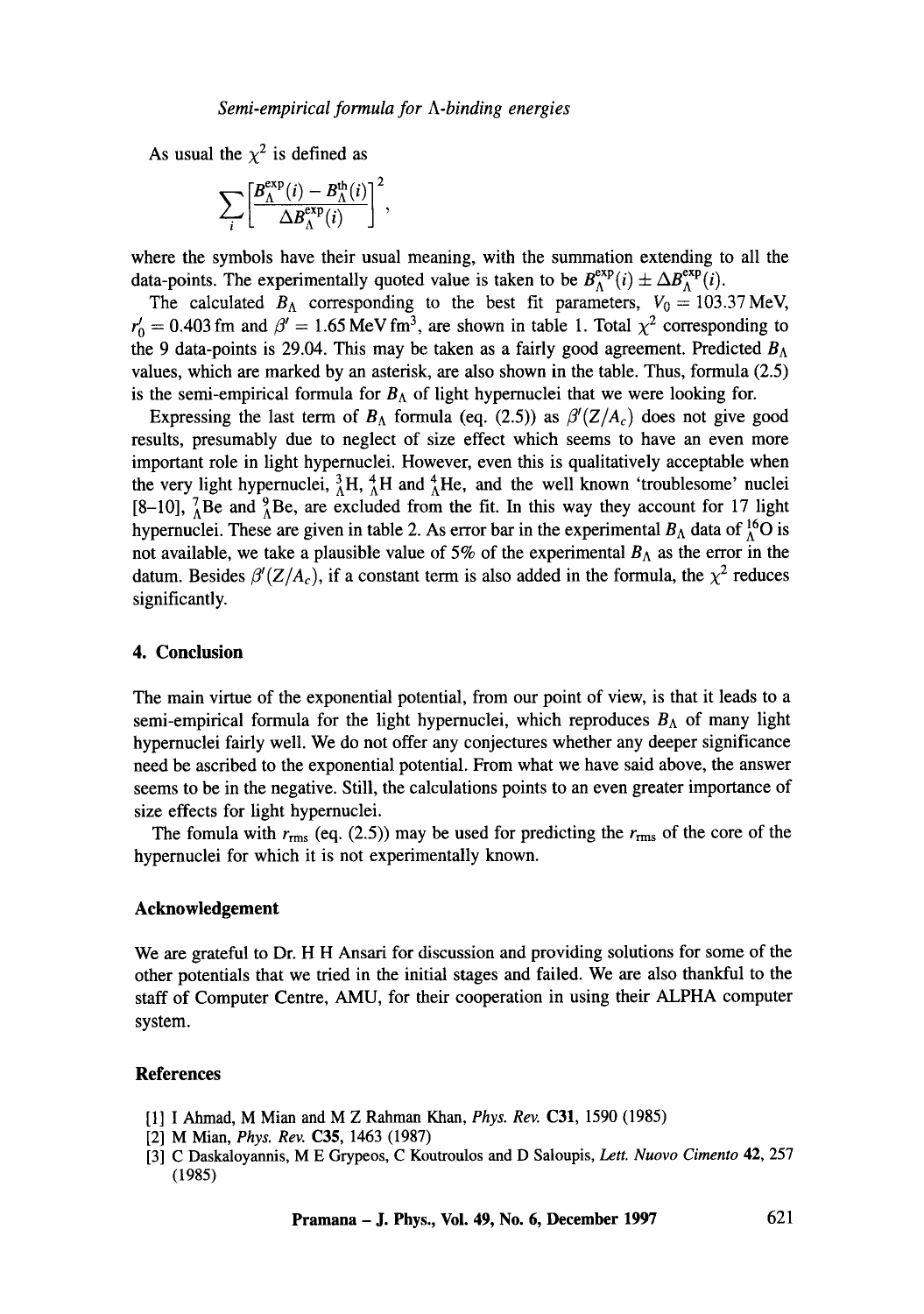As usual the  $\chi^2$  is defined as

$$
\sum_{i} \left[ \frac{B_{\Lambda}^{\exp}(i) - B_{\Lambda}^{\text{th}}(i)}{\Delta B_{\Lambda}^{\exp}(i)} \right]^{2},
$$

where the symbols have their usual meaning, with the summation extending to all the data-points. The experimentally quoted value is taken to be  $B_{\Lambda}^{exp}(i) \pm \Delta B_{\Lambda}^{exp}(i)$ .

The calculated  $B_A$  corresponding to the best fit parameters,  $V_0 = 103.37 \text{ MeV}$ ,  $r_0' = 0.403$  fm and  $\beta' = 1.65$  MeV fm<sup>3</sup>, are shown in table 1. Total  $\chi^2$  corresponding to the 9 data-points is 29.04. This may be taken as a fairly good agreement. Predicted  $B_{\Lambda}$ values, which are marked by an asterisk, are also shown in the table. Thus, formula (2.5) is the semi-empirical formula for  $B_{\Lambda}$  of light hypernuclei that we were looking for.

Expressing the last term of  $B_{\Lambda}$  formula (eq. (2.5)) as  $\beta'(Z/A_c)$  does not give good results, presumably due to neglect of size effect which seems to have an even more important role in light hypernuclei. However, even this is qualitatively acceptable when the very light hypernuclei,  ${}^{3}_{\Lambda}H$ ,  ${}^{4}_{\Lambda}H$  and  ${}^{4}_{\Lambda}He$ , and the well known 'troublesome' nuclei [8-10],  $^{7}_{\Lambda}$ Be and  $^{9}_{\Lambda}$ Be, are excluded from the fit. In this way they account for 17 light hypernuclei. These are given in table 2. As error bar in the experimental  $B_\Lambda$  data of  $^{16}_\Lambda$ O is not available, we take a plausible value of 5% of the experimental  $B_{\Lambda}$  as the error in the datum. Besides  $\beta'(Z/A_c)$ , if a constant term is also added in the formula, the  $\chi^2$  reduces significantly.

### **4. Conclusion**

The main virtue of the exponential potential, from our point of view, is that it leads to a semi-empirical formula for the light hypernuclei, which reproduces  $B_{\Lambda}$  of many light hypernuclei fairly well. We do not offer any conjectures whether any deeper significance need be ascribed to the exponential potential. From what we have said above, the answer seems to be in the negative. Still, the calculations points to an even greater importance of size effects for light hypernuclei.

The fomula with  $r_{\rm rms}$  (eq. (2.5)) may be used for predicting the  $r_{\rm rms}$  of the core of the hypernuclei for which it is not experimentally known.

# **Acknowledgement**

We are grateful to Dr. H H Ansari for discussion and providing solutions for some of the other potentials that we tried in the initial stages and failed. We are also thankful to the staff of Computer Centre, AMU, for their cooperation in using their ALPHA computer system.

#### **References**

- [1] I Ahmad, M Mian and M Z Rahman Khan, *Phys. Rev.* C31, 1590 (1985)
- [2] M Mian, *Phys. Rev.* C35, 1463 (1987)
- [3] C Daskaloyannis, M E Grypeos, C Koutroulos and D Saloupis, *Lett. Nuovo Cimento* 42, 257 (1985)